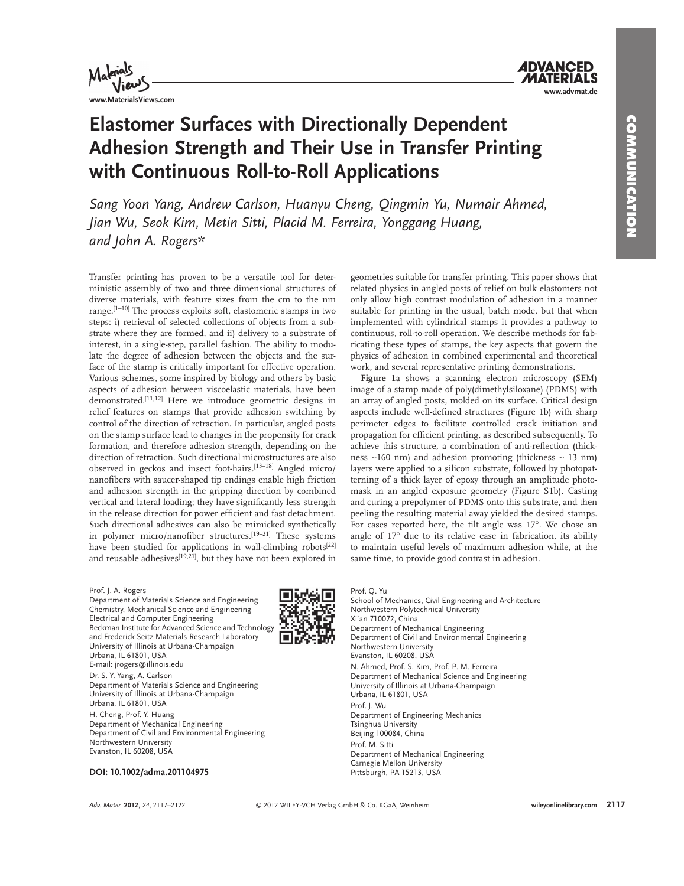

## **Elastomer Surfaces with Directionally Dependent Adhesion Strength and Their Use in Transfer Printing with Continuous Roll-to-Roll Applications**

 *Sang Yoon Yang , Andrew Carlson , Huanyu Cheng , Qingmin Yu , Numair Ahmed , Jian Wu, Seok Kim, Metin Sitti, Placid M. Ferreira, Yonggang Huang, and John A. Rogers \** 

 Transfer printing has proven to be a versatile tool for deterministic assembly of two and three dimensional structures of diverse materials, with feature sizes from the cm to the nm range.<sup>[1-10]</sup> The process exploits soft, elastomeric stamps in two steps: i) retrieval of selected collections of objects from a substrate where they are formed, and ii) delivery to a substrate of interest, in a single-step, parallel fashion. The ability to modulate the degree of adhesion between the objects and the surface of the stamp is critically important for effective operation. Various schemes, some inspired by biology and others by basic aspects of adhesion between viscoelastic materials, have been demonstrated.<sup>[11,12]</sup> Here we introduce geometric designs in relief features on stamps that provide adhesion switching by control of the direction of retraction. In particular, angled posts on the stamp surface lead to changes in the propensity for crack formation, and therefore adhesion strength, depending on the direction of retraction. Such directional microstructures are also observed in geckos and insect foot-hairs.<sup>[13-18]</sup> Angled micro/ nanofibers with saucer-shaped tip endings enable high friction and adhesion strength in the gripping direction by combined vertical and lateral loading; they have significantly less strength in the release direction for power efficient and fast detachment. Such directional adhesives can also be mimicked synthetically in polymer micro/nanofiber structures.<sup>[19-21]</sup> These systems have been studied for applications in wall-climbing robots<sup>[22]</sup> and reusable adhesives<sup>[19,21]</sup>, but they have not been explored in geometries suitable for transfer printing. This paper shows that related physics in angled posts of relief on bulk elastomers not only allow high contrast modulation of adhesion in a manner suitable for printing in the usual, batch mode, but that when implemented with cylindrical stamps it provides a pathway to continuous, roll-to-roll operation. We describe methods for fabricating these types of stamps, the key aspects that govern the physics of adhesion in combined experimental and theoretical work, and several representative printing demonstrations.

Figure 1a shows a scanning electron microscopy (SEM) image of a stamp made of poly(dimethylsiloxane) (PDMS) with an array of angled posts, molded on its surface. Critical design aspects include well-defined structures (Figure 1b) with sharp perimeter edges to facilitate controlled crack initiation and propagation for efficient printing, as described subsequently. To achieve this structure, a combination of anti-reflection (thickness ∼ 160 nm) and adhesion promoting (thickness ∼ 13 nm) layers were applied to a silicon substrate, followed by photopatterning of a thick layer of epoxy through an amplitude photomask in an angled exposure geometry (Figure S1b). Casting and curing a prepolymer of PDMS onto this substrate, and then peeling the resulting material away yielded the desired stamps. For cases reported here, the tilt angle was 17°. We chose an angle of  $17^{\circ}$  due to its relative ease in fabrication, its ability to maintain useful levels of maximum adhesion while, at the same time, to provide good contrast in adhesion.

### Prof. J. A. Rogers

Department of Materials Science and Engineering Chemistry, Mechanical Science and Engineering Electrical and Computer Engineering Beckman Institute for Advanced Science and Technology and Frederick Seitz Materials Research Laboratory University of Illinois at Urbana-Champaign Urbana, IL 61801, USA E-mail: jrogers@illinois.edu

Dr. S. Y. Yang, A. Carlson

Department of Materials Science and Engineering University of Illinois at Urbana-Champaign Urbana, IL 61801, USA

H. Cheng, Prof. Y. Huang

Department of Mechanical Engineering Department of Civil and Environmental Engineering Northwestern University Evanston, IL 60208, USA

Prof. Q. Yu

School of Mechanics, Civil Engineering and Architecture Northwestern Polytechnical University Xi'an 710072, China Department of Mechanical Engineering Department of Civil and Environmental Engineering Northwestern University Evanston, IL 60208, USA N. Ahmed, Prof. S. Kim, Prof. P. M. Ferreira Department of Mechanical Science and Engineering University of Illinois at Urbana-Champaign Urbana, IL 61801, USA Prof. J. Wu Department of Engineering Mechanics Tsinghua University Beijing 100084, China Prof. M. Sitti Department of Mechanical Engineering Carnegie Mellon University Pittsburgh, PA 15213, USA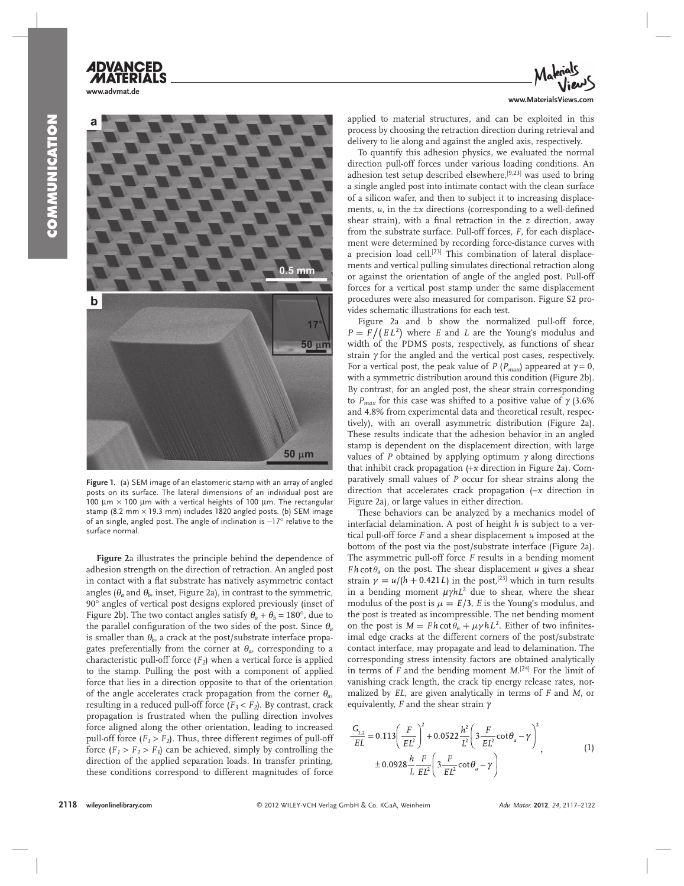# **www.advmat.de**  $5<sub>mm</sub>$ b  $50 \mu m$

**Figure 1.** (a) SEM image of an elastomeric stamp with an array of angled posts on its surface. The lateral dimensions of an individual post are 100 μm  $\times$  100 μm with a vertical heights of 100 μm. The rectangular stamp (8.2 mm × 19.3 mm) includes 1820 angled posts. (b) SEM image of an single, angled post. The angle of inclination is ∼ 17 ° relative to the surface normal.

 $50 \mu m$ 

Figure 2a illustrates the principle behind the dependence of adhesion strength on the direction of retraction. An angled post in contact with a flat substrate has natively asymmetric contact angles ( $\theta_a$  and  $\theta_b$ , inset, Figure 2a), in contrast to the symmetric, 90° angles of vertical post designs explored previously (inset of Figure 2b). The two contact angles satisfy  $\theta_a + \theta_b = 180^\circ$ , due to the parallel configuration of the two sides of the post. Since  $\theta_a$ is smaller than  $\theta_h$ , a crack at the post/substrate interface propagates preferentially from the corner at  $\theta_a$ , corresponding to a characteristic pull-off force  $(F_2)$  when a vertical force is applied to the stamp. Pulling the post with a component of applied force that lies in a direction opposite to that of the orientation of the angle accelerates crack propagation from the corner  $\theta_a$ , resulting in a reduced pull-off force  $(F_3 < F_2)$ . By contrast, crack propagation is frustrated when the pulling direction involves force aligned along the other orientation, leading to increased pull-off force  $(F_1 > F_2)$ . Thus, three different regimes of pull-off force  $(F_1 > F_2 > F_3)$  can be achieved, simply by controlling the direction of the applied separation loads. In transfer printing, these conditions correspond to different magnitudes of force



applied to material structures, and can be exploited in this process by choosing the retraction direction during retrieval and delivery to lie along and against the angled axis, respectively.

 To quantify this adhesion physics, we evaluated the normal direction pull-off forces under various loading conditions. An adhesion test setup described elsewhere,<sup>[9,23]</sup> was used to bring a single angled post into intimate contact with the clean surface of a silicon wafer, and then to subject it to increasing displacements,  $u$ , in the  $\pm x$  directions (corresponding to a well-defined shear strain), with a final retraction in the *z* direction, away from the substrate surface. Pull-off forces, *F*, for each displacement were determined by recording force-distance curves with a precision load cell.<sup>[23]</sup> This combination of lateral displacements and vertical pulling simulates directional retraction along or against the orientation of angle of the angled post. Pull-off forces for a vertical post stamp under the same displacement procedures were also measured for comparison. Figure S2 provides schematic illustrations for each test.

Figure 2a and b show the normalized pull-off force,  $P = F/(EL^2)$  where *E* and *L* are the Young's modulus and width of the PDMS posts, respectively, as functions of shear strain  $\gamma$  for the angled and the vertical post cases, respectively. For a vertical post, the peak value of *P* ( $P_{max}$ ) appeared at  $\gamma = 0$ , with a symmetric distribution around this condition (Figure 2b). By contrast, for an angled post, the shear strain corresponding to  $P_{max}$  for this case was shifted to a positive value of  $γ$  (3.6% and 4.8% from experimental data and theoretical result, respectively), with an overall asymmetric distribution (Figure 2a). These results indicate that the adhesion behavior in an angled stamp is dependent on the displacement direction, with large values of  $P$  obtained by applying optimum  $\gamma$  along directions that inhibit crack propagation (+x direction in Figure 2a). Comparatively small values of *P* occur for shear strains along the direction that accelerates crack propagation (-x direction in Figure 2a), or large values in either direction.

 These behaviors can be analyzed by a mechanics model of interfacial delamination. A post of height *h* is subject to a vertical pull-off force *F* and a shear displacement *u* imposed at the bottom of the post via the post/substrate interface (Figure 2a). The asymmetric pull-off force *F* results in a bending moment *Fh* cot  $\theta_a$  on the post. The shear displacement *u* gives a shear strain  $\gamma = u/(h + 0.421L)$  in the post,<sup>[23]</sup> which in turn results in a bending moment  $\mu \gamma h L^2$  due to shear, where the shear modulus of the post is  $\mu = E/3$ , *E* is the Young's modulus, and the post is treated as incompressible. The net bending moment on the post is  $M = F h \cot \theta_a + \mu \gamma h L^2$ . Either of two infinitesimal edge cracks at the different corners of the post/substrate contact interface, may propagate and lead to delamination. The corresponding stress intensity factors are obtained analytically in terms of  $F$  and the bending moment  $M$ <sup>[24]</sup> For the limit of vanishing crack length, the crack tip energy release rates, normalized by *EL* , are given analytically in terms of *F* and *M* , or equivalently, *F* and the shear strain γ

$$
\frac{G_{1,2}}{EL} = 0.113 \left( \frac{F}{EL^2} \right)^2 + 0.0522 \frac{h^2}{L^2} \left( 3 \frac{F}{EL^2} \cot \theta_a - \gamma \right)^2
$$
\n
$$
\pm 0.0928 \frac{h}{L} \frac{F}{EL^2} \left( 3 \frac{F}{EL^2} \cot \theta_a - \gamma \right)
$$
\n(1)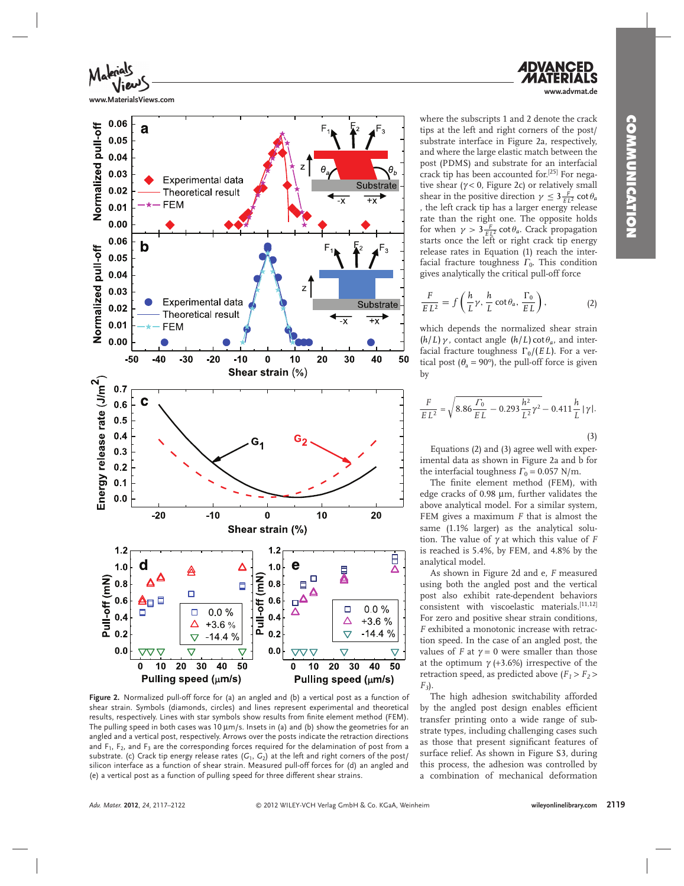**www.advmat.de**



**www.MaterialsViews.com**



Figure 2. Normalized pull-off force for (a) an angled and (b) a vertical post as a function of shear strain. Symbols (diamonds, circles) and lines represent experimental and theoretical results, respectively. Lines with star symbols show results from finite element method (FEM). The pulling speed in both cases was 10  $\mu$ m/s. Insets in (a) and (b) show the geometries for an angled and a vertical post, respectively. Arrows over the posts indicate the retraction directions and  $F_1$ ,  $F_2$ , and  $F_3$  are the corresponding forces required for the delamination of post from a substrate. (c) Crack tip energy release rates  $(G_1, G_2)$  at the left and right corners of the post/ silicon interface as a function of shear strain. Measured pull-off forces for (d) an angled and (e) a vertical post as a function of pulling speed for three different shear strains.

where the subscripts 1 and 2 denote the crack tips at the left and right corners of the post/ substrate interface in Figure 2a, respectively, and where the large elastic match between the post (PDMS) and substrate for an interfacial crack tip has been accounted for.<sup>[25]</sup> For negative shear ( $\gamma$  < 0, Figure 2c) or relatively small shear in the positive direction  $\gamma \leq 3 \frac{F}{EL^2} \cot \theta_a$  , the left crack tip has a larger energy release rate than the right one. The opposite holds for when  $\gamma > 3 \frac{F}{E L^2} \cot \theta_a$ . Crack propagation starts once the left or right crack tip energy release rates in Equation (1) reach the interfacial fracture toughness  $\Gamma_0$ . This condition gives analytically the critical pull-off force

$$
\frac{F}{EL^2} = f\left(\frac{h}{L}\gamma, \frac{h}{L}\cot\theta_a, \frac{\Gamma_0}{EL}\right),\tag{2}
$$

which depends the normalized shear strain  $(h/L)\gamma$ , contact angle  $(h/L)$  cot  $\theta_a$ , and interfacial fracture toughness  $\Gamma_0/(E L)$ . For a vertical post ( $\theta_a = 90^\circ$ ), the pull-off force is given by

$$
\frac{F}{E L^2} = \sqrt{8.86 \frac{\Gamma_0}{E L} - 0.293 \frac{h^2}{L^2} \gamma^2} - 0.411 \frac{h}{L} |\gamma|.
$$
\n(3)

 Equations (2) and (3) agree well with experimental data as shown in Figure 2a and b for the interfacial toughness  $\Gamma_0 = 0.057$  N/m.

The finite element method (FEM), with edge cracks of 0.98 μm, further validates the above analytical model. For a similar system, FEM gives a maximum *F* that is almost the same (1.1% larger) as the analytical solution. The value of γ at which this value of *F* is reached is 5.4%, by FEM, and 4.8% by the analytical model.

As shown in Figure 2d and e, *F* measured using both the angled post and the vertical post also exhibit rate-dependent behaviors  $consistent$  with viscoelastic materials.  $[11, 12]$ For zero and positive shear strain conditions, *F* exhibited a monotonic increase with retraction speed. In the case of an angled post, the values of *F* at  $\gamma = 0$  were smaller than those at the optimum  $\gamma$  (+3.6%) irrespective of the retraction speed, as predicted above  $(F_1 > F_2 >$ *F 3* ).

 The high adhesion switchability afforded by the angled post design enables efficient transfer printing onto a wide range of substrate types, including challenging cases such as those that present significant features of surface relief. As shown in Figure S3, during this process, the adhesion was controlled by a combination of mechanical deformation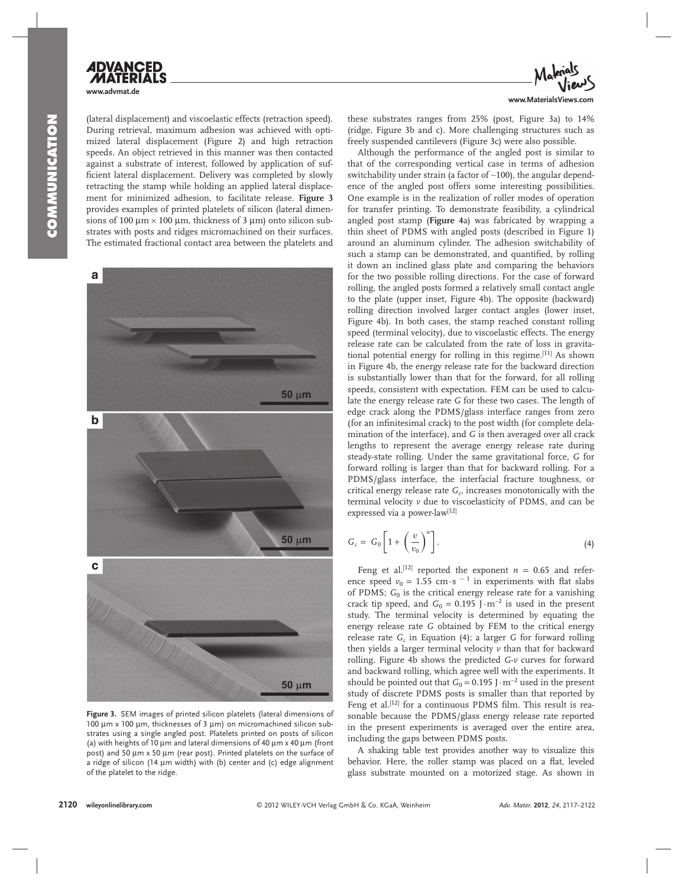



(lateral displacement) and viscoelastic effects (retraction speed). During retrieval, maximum adhesion was achieved with optimized lateral displacement (Figure 2) and high retraction speeds. An object retrieved in this manner was then contacted against a substrate of interest, followed by application of sufficient lateral displacement. Delivery was completed by slowly retracting the stamp while holding an applied lateral displacement for minimized adhesion, to facilitate release. **Figure 3** provides examples of printed platelets of silicon (lateral dimensions of 100  $\mu$ m × 100  $\mu$ m, thickness of 3  $\mu$ m) onto silicon substrates with posts and ridges micromachined on their surfaces. The estimated fractional contact area between the platelets and



Figure 3. SEM images of printed silicon platelets (lateral dimensions of 100 μm x 100 μm, thicknesses of 3 μm) on micromachined silicon substrates using a single angled post. Platelets printed on posts of silicon (a) with heights of 10  $\mu$ m and lateral dimensions of 40  $\mu$ m x 40  $\mu$ m (front post) and 50 μm x 50 μm (rear post). Printed platelets on the surface of a ridge of silicon (14  $\mu$ m width) with (b) center and (c) edge alignment of the platelet to the ridge.

these substrates ranges from 25% (post, Figure 3a) to 14% (ridge, Figure 3b and c). More challenging structures such as freely suspended cantilevers (Figure 3c) were also possible.

 Although the performance of the angled post is similar to that of the corresponding vertical case in terms of adhesion switchability under strain (a factor of ~100), the angular dependence of the angled post offers some interesting possibilities. One example is in the realization of roller modes of operation for transfer printing. To demonstrate feasibility, a cylindrical angled post stamp (Figure 4a) was fabricated by wrapping a thin sheet of PDMS with angled posts (described in Figure 1) around an aluminum cylinder. The adhesion switchability of such a stamp can be demonstrated, and quantified, by rolling it down an inclined glass plate and comparing the behaviors for the two possible rolling directions. For the case of forward rolling, the angled posts formed a relatively small contact angle to the plate (upper inset, Figure 4b). The opposite (backward) rolling direction involved larger contact angles (lower inset, Figure 4b). In both cases, the stamp reached constant rolling speed (terminal velocity), due to viscoelastic effects. The energy release rate can be calculated from the rate of loss in gravitational potential energy for rolling in this regime.<sup>[11]</sup> As shown in Figure 4b, the energy release rate for the backward direction is substantially lower than that for the forward, for all rolling speeds, consistent with expectation. FEM can be used to calculate the energy release rate *G* for these two cases. The length of edge crack along the PDMS/glass interface ranges from zero (for an infinitesimal crack) to the post width (for complete delamination of the interface), and *G* is then averaged over all crack lengths to represent the average energy release rate during steady-state rolling. Under the same gravitational force, *G* for forward rolling is larger than that for backward rolling. For a PDMS/glass interface, the interfacial fracture toughness, or critical energy release rate  $G_c$ , increases monotonically with the terminal velocity *v* due to viscoelasticity of PDMS, and can be expressed via a power-law<sup>[12]</sup>

$$
G_c = G_0 \left[ 1 + \left( \frac{v}{v_0} \right)^n \right]. \tag{4}
$$

Feng et al.<sup>[12]</sup> reported the exponent  $n = 0.65$  and reference speed  $v_0 = 1.55$  cm · s<sup>-1</sup> in experiments with flat slabs of PDMS; G<sub>0</sub> is the critical energy release rate for a vanishing crack tip speed, and  $G_0 = 0.195$  J $\cdot$ m<sup>-2</sup> is used in the present study. The terminal velocity is determined by equating the energy release rate *G* obtained by FEM to the critical energy release rate  $G_c$  in Equation (4); a larger  $G$  for forward rolling then yields a larger terminal velocity *v* than that for backward rolling. Figure 4b shows the predicted *G-v* curves for forward and backward rolling, which agree well with the experiments. It should be pointed out that  $G_0 = 0.195$  J $\cdot$ m<sup>-2</sup> used in the present study of discrete PDMS posts is smaller than that reported by Feng et al.<sup>[12]</sup> for a continuous PDMS film. This result is reasonable because the PDMS/glass energy release rate reported in the present experiments is averaged over the entire area, including the gaps between PDMS posts.

 A shaking table test provides another way to visualize this behavior. Here, the roller stamp was placed on a flat, leveled glass substrate mounted on a motorized stage. As shown in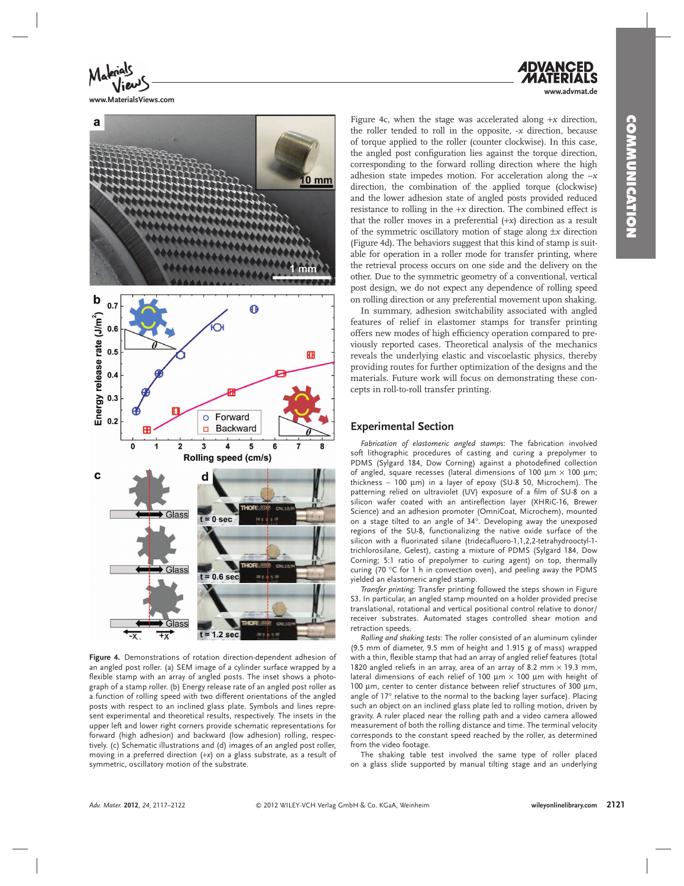**www.advmat.de**



**www.MaterialsViews.com**



Figure 4. Demonstrations of rotation direction-dependent adhesion of an angled post roller. (a) SEM image of a cylinder surface wrapped by a flexible stamp with an array of angled posts. The inset shows a photograph of a stamp roller. (b) Energy release rate of an angled post roller as a function of rolling speed with two different orientations of the angled posts with respect to an inclined glass plate. Symbols and lines represent experimental and theoretical results, respectively. The insets in the upper left and lower right corners provide schematic representations for forward (high adhesion) and backward (low adhesion) rolling, respectively. (c) Schematic illustrations and (d) images of an angled post roller, moving in a preferred direction (+x) on a glass substrate, as a result of symmetric, oscillatory motion of the substrate.

Figure 4c, when the stage was accelerated along  $+x$  direction, the roller tended to roll in the opposite,  $-x$  direction, because of torque applied to the roller (counter clockwise). In this case, the angled post configuration lies against the torque direction, corresponding to the forward rolling direction where the high adhesion state impedes motion. For acceleration along the  $-x$ direction, the combination of the applied torque (clockwise) and the lower adhesion state of angled posts provided reduced resistance to rolling in the +*x* direction. The combined effect is that the roller moves in a preferential  $(+x)$  direction as a result of the symmetric oscillatory motion of stage along ±*x* direction (Figure 4d). The behaviors suggest that this kind of stamp is suitable for operation in a roller mode for transfer printing, where the retrieval process occurs on one side and the delivery on the other. Due to the symmetric geometry of a conventional, vertical post design, we do not expect any dependence of rolling speed on rolling direction or any preferential movement upon shaking.

 In summary, adhesion switchability associated with angled features of relief in elastomer stamps for transfer printing offers new modes of high efficiency operation compared to previously reported cases. Theoretical analysis of the mechanics reveals the underlying elastic and viscoelastic physics, thereby providing routes for further optimization of the designs and the materials. Future work will focus on demonstrating these concepts in roll-to-roll transfer printing.

### **Experimental Section**

Fabrication of elastomeric angled stamps: The fabrication involved soft lithographic procedures of casting and curing a prepolymer to PDMS (Sylgard 184, Dow Corning) against a photodefined collection of angled, square recesses (lateral dimensions of 100 μm  $\times$  100 μm; thickness  $~\sim$  100  $\mu$ m) in a layer of epoxy (SU-8 50, Microchem). The patterning relied on ultraviolet (UV) exposure of a film of SU-8 on a silicon wafer coated with an antireflection layer (XHRiC-16, Brewer Science) and an adhesion promoter (OmniCoat, Microchem), mounted on a stage tilted to an angle of 34°. Developing away the unexposed regions of the SU-8, functionalizing the native oxide surface of the silicon with a fluorinated silane (tridecafluoro-1,1,2,2-tetrahydrooctyl-1trichlorosilane, Gelest), casting a mixture of PDMS (Sylgard 184, Dow Corning; 5:1 ratio of prepolymer to curing agent) on top, thermally curing (70  $\degree$ C for 1 h in convection oven), and peeling away the PDMS yielded an elastomeric angled stamp.

*Transfer printing* : Transfer printing followed the steps shown in Figure S3. In particular, an angled stamp mounted on a holder provided precise translational, rotational and vertical positional control relative to donor/ receiver substrates. Automated stages controlled shear motion and retraction speeds.

*Rolling and shaking tests* : The roller consisted of an aluminum cylinder (9.5 mm of diameter, 9.5 mm of height and 1.915 g of mass) wrapped with a thin, flexible stamp that had an array of angled relief features (total 1820 angled reliefs in an array, area of an array of 8.2 mm  $\times$  19.3 mm, lateral dimensions of each relief of 100 μm  $\times$  100 μm with height of 100 μm, center to center distance between relief structures of 300 μm, angle of  $17^\circ$  relative to the normal to the backing layer surface). Placing such an object on an inclined glass plate led to rolling motion, driven by gravity. A ruler placed near the rolling path and a video camera allowed measurement of both the rolling distance and time. The terminal velocity corresponds to the constant speed reached by the roller, as determined from the video footage.

 The shaking table test involved the same type of roller placed on a glass slide supported by manual tilting stage and an underlying